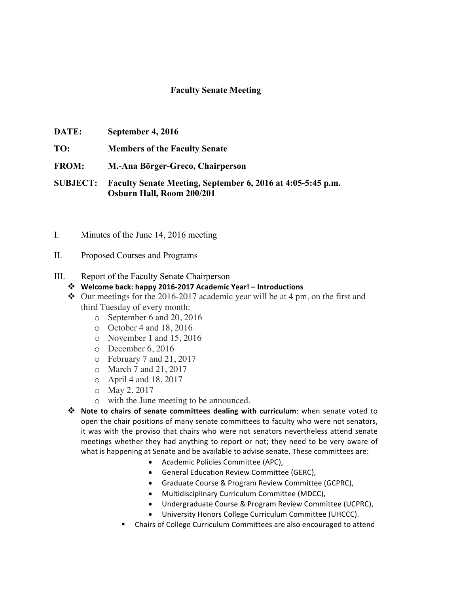## **Faculty Senate Meeting**

- **DATE: September 4, 2016**
- **TO: Members of the Faculty Senate**
- **FROM: M.-Ana Börger-Greco, Chairperson**

**SUBJECT: Faculty Senate Meeting, September 6, 2016 at 4:05-5:45 p.m. Osburn Hall, Room 200/201**

- I. Minutes of the June 14, 2016 meeting
- II. Proposed Courses and Programs

## III. Report of the Faculty Senate Chairperson

- v **Welcome back: happy 2016-2017 Academic Year! – Introductions**
- $\triangle$  Our meetings for the 2016-2017 academic year will be at 4 pm, on the first and third Tuesday of every month:
	- o September 6 and 20, 2016
	- o October 4 and 18, 2016
	- o November 1 and 15, 2016
	- o December 6, 2016
	- o February 7 and 21, 2017
	- o March 7 and 21, 2017
	- o April 4 and 18, 2017
	- o May 2, 2017
	- o with the June meeting to be announced.
- $\dots$  Note to chairs of senate committees dealing with curriculum: when senate voted to open the chair positions of many senate committees to faculty who were not senators, it was with the proviso that chairs who were not senators nevertheless attend senate meetings whether they had anything to report or not; they need to be very aware of what is happening at Senate and be available to advise senate. These committees are:
	- Academic Policies Committee (APC),
	- General Education Review Committee (GERC),
	- Graduate Course & Program Review Committee (GCPRC),
	- Multidisciplinary Curriculum Committee (MDCC),
	- Undergraduate Course & Program Review Committee (UCPRC),
	- University Honors College Curriculum Committee (UHCCC).
	- Chairs of College Curriculum Committees are also encouraged to attend